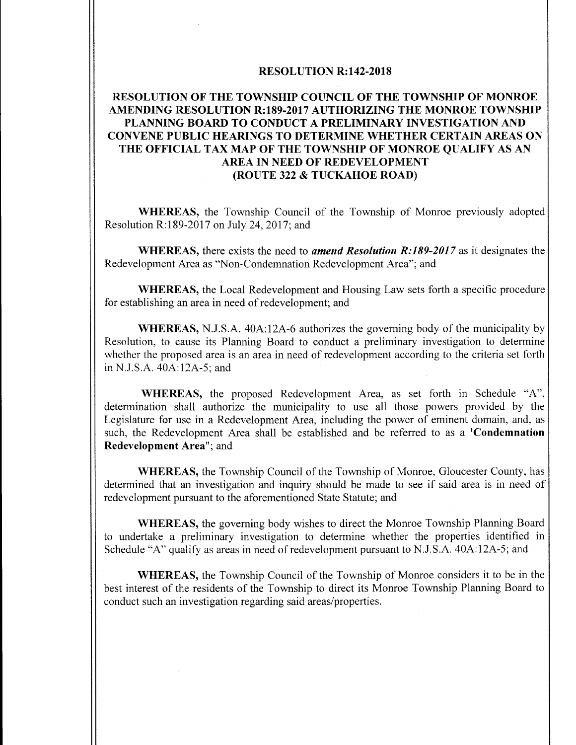### RESOLUTION R:142-2018

# RESOLUTION OF THE TOWNSHIP COUNCIL OF THE TOWNSHIP OF MONROE AMENDING RESOLUTION R:189-2017 AUTHORIZING THE MONROE TOWNSHIP PLANNING BOARD TO CONDUCT A PRELIMINARY INVESTIGATION AND CONVENE PUBLIC HEARINGS TO DETERMINE WHETHER CERTAIN AREAS ON THE OFFICIAL TAX MAP OF THE TOWNSHIP OF MONROE QUALIFY AS AN AREA IN NEED OF REDEVELOPMENT ROUTE 322 & TUCKAHOE ROAD)

WHEREAS, the Township Council of the Township of Monroe previously adopted Resolution R:189-2017 on July 24, 2017; and

WHEREAS, there exists the need to *amend Resolution R:189-2017* as it designates the Redevelopment Area as "Non-Condemnation Redevelopment Area"; and

WHEREAS, the Local Redevelopment and Housing Law sets forth a specific procedure for establishing an area in need of redevelopment; and

WHEREAS, N.J.S.A. 40A:12A-6 authorizes the governing body of the municipality by Resolution, to cause its Planning Board to conduct a preliminary investigation to determine whether the proposed area is an area in need of redevelopment according to the criteria set forth in N.J.S.A. 40A:12A-5; and

WHEREAS, the proposed Redevelopment Area, as set forth in Schedule "A", determination shall authorize the municipality to use all those powers provided by the Legislature for use in <sup>a</sup> Redevelopment Area, including the power of eminent domain, and, as such, the Redevelopment Area shall be established and be referred to as a 'Condemnation Redevelopment Area"; and

WHEREAS, the Township Council of the Township of Monroe, Gloucester County, has determined that an investigation and inquiry should be made to see if said area is in need of redevelopment pursuant to the aforementioned State Statute; and

WHEREAS, the governing body wishes to direct the Monroe Township Planning Board to undertake a preliminary investigation to determine whether the properties identified in Schedule "A" qualify as areas in need of redevelopment pursuant to N.J.S.A. 40A:12A-5; and

WHEREAS, the Township Council of the Township of Monroe considers it to be in the best interest of the residents of the Township to direct its Monroe Township Planning Board to conduct such an investigation regarding said areas/properties.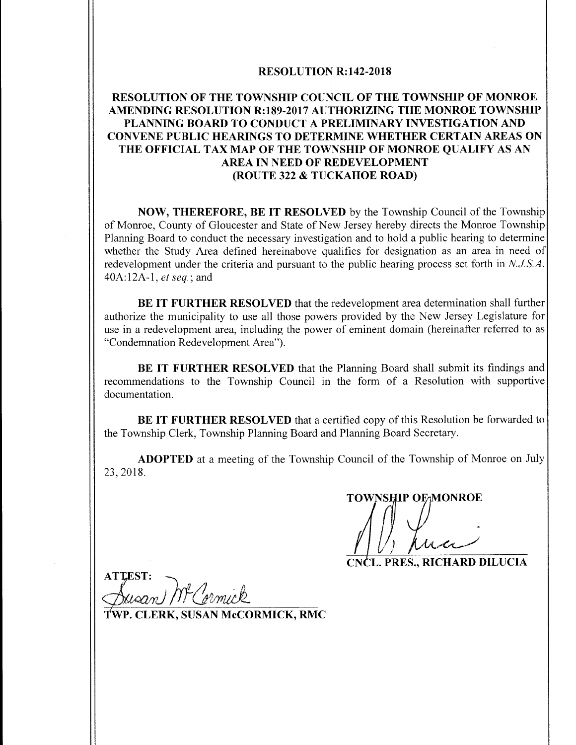### RESOLUTION R:142-2018

# RESOLUTION OF THE TOWNSHIP COUNCIL OF THE TOWNSHIP OF MONROE AMENDING RESOLUTION R:189-2017 AUTHORIZING THE MONROE TOWNSHIP PLANNING BOARD TO CONDUCT A PRELIMINARY INVESTIGATION AND CONVENE PUBLIC HEARINGS TO DETERMINE WHETHER CERTAIN AREAS ON THE OFFICIAL TAX MAP OF THE TOWNSHIP OF MONROE QUALIFY AS AN AREA IN NEED OF REDEVELOPMENT ROUTE 322 & TUCKAHOE ROAD)

NOW, THEREFORE, BE IT RESOLVED by the Township Council of the Township of Monroe, County of Gloucester and State of New Jersey hereby directs the Monroe Township Planning Board to conduct the necessary investigation and to hold a public hearing to determine whether the Study Area defined hereinabove qualifies for designation as an area in need of redevelopment under the criteria and pursuant to the public hearing process set forth in N.J.S.A. 40A:12A-1, et seq.; and

BE IT FURTHER RESOLVED that the redevelopment area determination shall further authorize the municipality to use all those powers provided by the New Jersey Legislature for use in a redevelopment area, including the power of eminent domain ( hereinafter referred to as Condemnation Redevelopment Area").

BE IT FURTHER RESOLVED that the Planning Board shall submit its findings and recommendations to the Township Council in the form of a Resolution with supportive documentation.

BE IT FURTHER RESOLVED that a certified copy of this Resolution be forwarded to the Township Clerk, Township Planning Board and Planning Board Secretary.

ADOPTED at a meeting of the Township Council of the Township of Monroe on July 23, 2018.

TOWNSHIP OF MONROE

CNCL. PRES., RICHARD DILUCIA

**ATTEST:** 

WP. CLERK, SUSAN McCORMICK, RMC